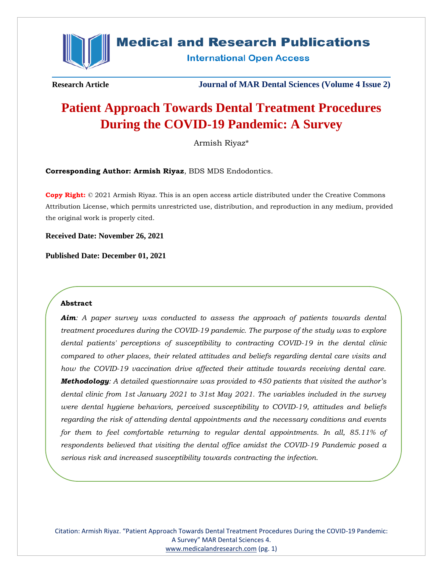

**Medical and Research Publications** 

**International Open Access** 

**Research Article Journal of MAR Dental Sciences (Volume 4 Issue 2)**

## **Patient Approach Towards Dental Treatment Procedures During the COVID-19 Pandemic: A Survey**

Armish Riyaz\*

**Corresponding Author: Armish Riyaz**, BDS MDS Endodontics.

**Copy Right:** © 2021 Armish Riyaz. This is an open access article distributed under the Creative Commons Attribution License, which permits unrestricted use, distribution, and reproduction in any medium, provided the original work is properly cited.

**Received Date: November 26, 2021**

**Published Date: December 01, 2021**

#### **Abstract**

*Aim: A paper survey was conducted to assess the approach of patients towards dental treatment procedures during the COVID-19 pandemic. The purpose of the study was to explore dental patients' perceptions of susceptibility to contracting COVID-19 in the dental clinic compared to other places, their related attitudes and beliefs regarding dental care visits and how the COVID-19 vaccination drive affected their attitude towards receiving dental care. Methodology: A detailed questionnaire was provided to 450 patients that visited the author's dental clinic from 1st January 2021 to 31st May 2021. The variables included in the survey were dental hygiene behaviors, perceived susceptibility to COVID-19, attitudes and beliefs regarding the risk of attending dental appointments and the necessary conditions and events for them to feel comfortable returning to regular dental appointments. In all, 85.11% of respondents believed that visiting the dental office amidst the COVID-19 Pandemic posed a serious risk and increased susceptibility towards contracting the infection.* 

Citation: Armish Riyaz. "Patient Approach Towards Dental Treatment Procedures During the COVID-19 Pandemic: A Survey" MAR Dental Sciences 4. [www.medicalandresearch.com](http://www.medicalandresearch.com/) (pg. 1)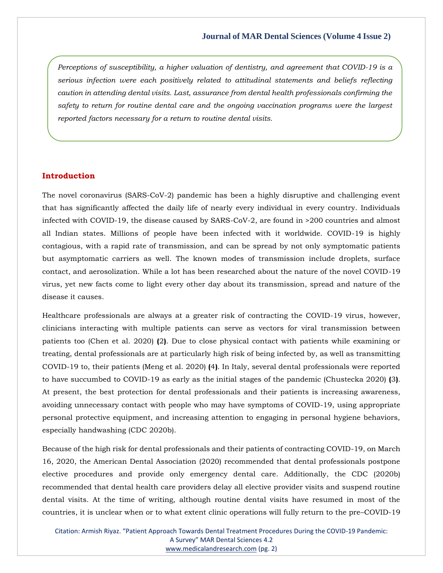*Perceptions of susceptibility, a higher valuation of dentistry, and agreement that COVID-19 is a serious infection were each positively related to attitudinal statements and beliefs reflecting caution in attending dental visits. Last, assurance from dental health professionals confirming the safety to return for routine dental care and the ongoing vaccination programs were the largest reported factors necessary for a return to routine dental visits.*

#### **Introduction**

The novel coronavirus (SARS-CoV-2) pandemic has been a highly disruptive and challenging event that has significantly affected the daily life of nearly every individual in every country. Individuals infected with COVID-19, the disease caused by SARS-CoV-2, are found in >200 countries and almost all Indian states. Millions of people have been infected with it worldwide. COVID-19 is highly contagious, with a rapid rate of transmission, and can be spread by not only symptomatic patients but asymptomatic carriers as well. The known modes of transmission include droplets, surface contact, and aerosolization. While a lot has been researched about the nature of the novel COVID-19 virus, yet new facts come to light every other day about its transmission, spread and nature of the disease it causes.

Healthcare professionals are always at a greater risk of contracting the COVID-19 virus, however, clinicians interacting with multiple patients can serve as vectors for viral transmission between patients too (Chen et al. 2020) **(**2**)**. Due to close physical contact with patients while examining or treating, dental professionals are at particularly high risk of being infected by, as well as transmitting COVID-19 to, their patients (Meng et al. 2020) **(**4**)**. In Italy, several dental professionals were reported to have succumbed to COVID-19 as early as the initial stages of the pandemic (Chustecka 2020) **(**3**)**. At present, the best protection for dental professionals and their patients is increasing awareness, avoiding unnecessary contact with people who may have symptoms of COVID-19, using appropriate personal protective equipment, and increasing attention to engaging in personal hygiene behaviors, especially handwashing (CDC 2020b).

Because of the high risk for dental professionals and their patients of contracting COVID-19, on March 16, 2020, the American Dental Association (2020) recommended that dental professionals postpone elective procedures and provide only emergency dental care. Additionally, the CDC (2020b) recommended that dental health care providers delay all elective provider visits and suspend routine dental visits. At the time of writing, although routine dental visits have resumed in most of the countries, it is unclear when or to what extent clinic operations will fully return to the pre–COVID-19

Citation: Armish Riyaz. "Patient Approach Towards Dental Treatment Procedures During the COVID-19 Pandemic: A Survey" MAR Dental Sciences 4.2 [www.medicalandresearch.com](http://www.medicalandresearch.com/) (pg. 2)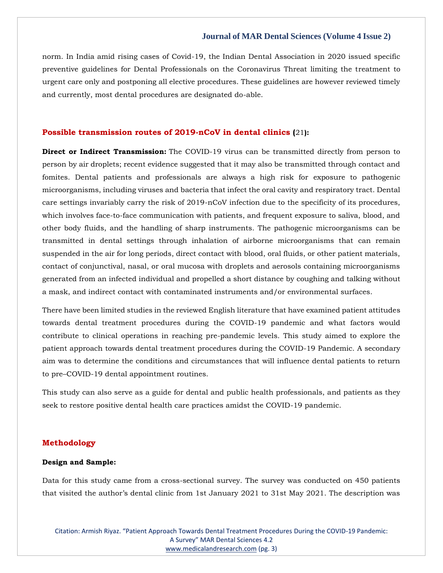norm. In India amid rising cases of Covid-19, the Indian Dental Association in 2020 issued specific preventive guidelines for Dental Professionals on the Coronavirus Threat limiting the treatment to urgent care only and postponing all elective procedures. These guidelines are however reviewed timely and currently, most dental procedures are designated do-able.

#### **Possible transmission routes of 2019-nCoV in dental clinics (**21**):**

**Direct or Indirect Transmission:** The COVID-19 virus can be transmitted directly from person to person by air droplets; recent evidence suggested that it may also be transmitted through contact and fomites. Dental patients and professionals are always a high risk for exposure to pathogenic microorganisms, including viruses and bacteria that infect the oral cavity and respiratory tract. Dental care settings invariably carry the risk of 2019-nCoV infection due to the specificity of its procedures, which involves face-to-face communication with patients, and frequent exposure to saliva, blood, and other body fluids, and the handling of sharp instruments. The pathogenic microorganisms can be transmitted in dental settings through inhalation of airborne microorganisms that can remain suspended in the air for long periods, direct contact with blood, oral fluids, or other patient materials, contact of conjunctival, nasal, or oral mucosa with droplets and aerosols containing microorganisms generated from an infected individual and propelled a short distance by coughing and talking without a mask, and indirect contact with contaminated instruments and/or environmental surfaces.

There have been limited studies in the reviewed English literature that have examined patient attitudes towards dental treatment procedures during the COVID-19 pandemic and what factors would contribute to clinical operations in reaching pre-pandemic levels. This study aimed to explore the patient approach towards dental treatment procedures during the COVID-19 Pandemic. A secondary aim was to determine the conditions and circumstances that will influence dental patients to return to pre–COVID-19 dental appointment routines.

This study can also serve as a guide for dental and public health professionals, and patients as they seek to restore positive dental health care practices amidst the COVID-19 pandemic.

#### **Methodology**

#### **Design and Sample:**

Data for this study came from a cross-sectional survey. The survey was conducted on 450 patients that visited the author's dental clinic from 1st January 2021 to 31st May 2021. The description was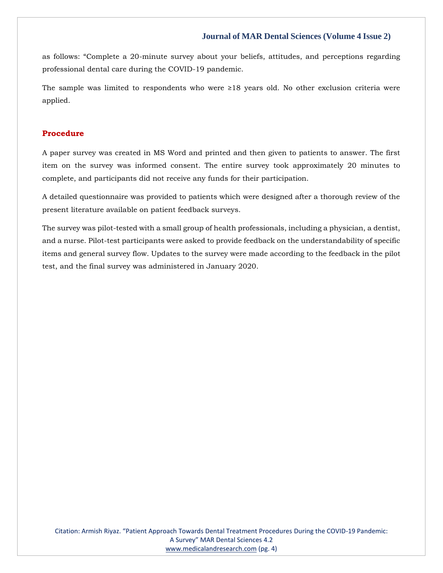as follows: "Complete a 20-minute survey about your beliefs, attitudes, and perceptions regarding professional dental care during the COVID-19 pandemic.

The sample was limited to respondents who were  $\geq 18$  years old. No other exclusion criteria were applied.

## **Procedure**

A paper survey was created in MS Word and printed and then given to patients to answer. The first item on the survey was informed consent. The entire survey took approximately 20 minutes to complete, and participants did not receive any funds for their participation.

A detailed questionnaire was provided to patients which were designed after a thorough review of the present literature available on patient feedback surveys.

The survey was pilot-tested with a small group of health professionals, including a physician, a dentist, and a nurse. Pilot-test participants were asked to provide feedback on the understandability of specific items and general survey flow. Updates to the survey were made according to the feedback in the pilot test, and the final survey was administered in January 2020.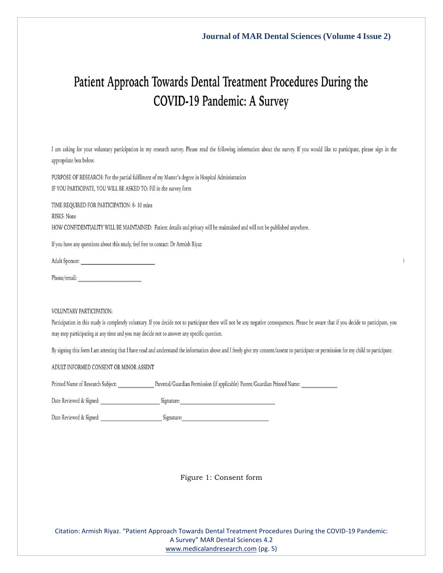$\mathbf{f}$ 

# Patient Approach Towards Dental Treatment Procedures During the **COVID-19 Pandemic: A Survey**

I am asking for your voluntary participation in my research survey. Please read the following information about the survey. If you would like to participate, please sign in the appropriate box below.

PURPOSE OF RESEARCH: For the partial fulfilment of my Master's degree in Hospital Administration IF YOU PARTICIPATE, YOU WILL BE ASKED TO: Fill in the survey form

TIME REQUIRED FOR PARTICIPATION: 8-10 mins

RISKS: None

HOW CONFIDENTIALITY WILL BE MAINTAINED: Patient details and privacy will be maintained and will not be published anywhere.

If you have any questions about this study, feel free to contact: Dr Armish Riyaz

Adult Sponsor: The Contract of the Contract of the Contract of the Contract of the Contract of the Contract of the Contract of the Contract of the Contract of the Contract of the Contract of the Contract of the Contract of

Phone/email:

VOLUNTARY PARTICIPATION:

Participation in this study is completely voluntary. If you decide not to participate there will not be any negative consequences. Please be aware that if you decide to participate, you may stop participating at any time and you may decide not to answer any specific question.

By signing this form I am attesting that I have read and understand the information above and I freely give my consent/assent to participate or permission for my child to participate.

ADULT INFORMED CONSENT OR MINOR ASSENT

Printed Name of Research Subject: Parental/Guardian Permission (if applicable) Parent/Guardian Printed Name:

Date Reviewed & Signed:<br>Signature:

Date Reviewed & Signed: Signature:

Figure 1: Consent form

Citation: Armish Riyaz. "Patient Approach Towards Dental Treatment Procedures During the COVID-19 Pandemic: A Survey" MAR Dental Sciences 4.2 [www.medicalandresearch.com](http://www.medicalandresearch.com/) (pg. 5)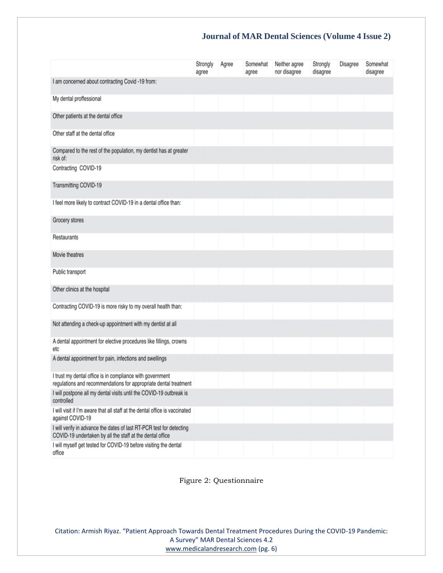|                                                                                                                                   | Strongly<br>agree | Agree | Somewhat<br>agree | Neither agree<br>nor disagree | Strongly<br>disagree | Disagree | Somewhat<br>disagree |
|-----------------------------------------------------------------------------------------------------------------------------------|-------------------|-------|-------------------|-------------------------------|----------------------|----------|----------------------|
| I am concerned about contracting Covid -19 from:                                                                                  |                   |       |                   |                               |                      |          |                      |
| My dental proffessional                                                                                                           |                   |       |                   |                               |                      |          |                      |
| Other patients at the dental office                                                                                               |                   |       |                   |                               |                      |          |                      |
| Other staff at the dental office                                                                                                  |                   |       |                   |                               |                      |          |                      |
| Compared to the rest of the population, my dentist has at greater<br>risk of:                                                     |                   |       |                   |                               |                      |          |                      |
| Contracting COVID-19                                                                                                              |                   |       |                   |                               |                      |          |                      |
| Transmitting COVID-19                                                                                                             |                   |       |                   |                               |                      |          |                      |
| I feel more likely to contract COVID-19 in a dental office than:                                                                  |                   |       |                   |                               |                      |          |                      |
| Grocery stores                                                                                                                    |                   |       |                   |                               |                      |          |                      |
| Restaurants                                                                                                                       |                   |       |                   |                               |                      |          |                      |
| Movie theatres                                                                                                                    |                   |       |                   |                               |                      |          |                      |
| Public transport                                                                                                                  |                   |       |                   |                               |                      |          |                      |
| Other clinics at the hospital                                                                                                     |                   |       |                   |                               |                      |          |                      |
| Contracting COVID-19 is more risky to my overall health than:                                                                     |                   |       |                   |                               |                      |          |                      |
| Not attending a check-up appointment with my dentist at all                                                                       |                   |       |                   |                               |                      |          |                      |
| A dental appointment for elective procedures like fillings, crowns<br>etc                                                         |                   |       |                   |                               |                      |          |                      |
| A dental appointment for pain, infections and swellings                                                                           |                   |       |                   |                               |                      |          |                      |
| I trust my dental office is in compliance with government<br>regulations and recommendations for appropriate dental treatment     |                   |       |                   |                               |                      |          |                      |
| I will postpone all my dental visits until the COVID-19 outbreak is<br>controlled                                                 |                   |       |                   |                               |                      |          |                      |
| I will visit if I'm aware that all staff at the dental office is vaccinated<br>against COVID-19                                   |                   |       |                   |                               |                      |          |                      |
| I will verify in advance the dates of last RT-PCR test for detecting<br>COVID-19 undertaken by all the staff at the dental office |                   |       |                   |                               |                      |          |                      |
| I will myself get tested for COVID-19 before visiting the dental<br>office                                                        |                   |       |                   |                               |                      |          |                      |

Figure 2: Questionnaire

Citation: Armish Riyaz. "Patient Approach Towards Dental Treatment Procedures During the COVID-19 Pandemic: A Survey" MAR Dental Sciences 4.2 [www.medicalandresearch.com](http://www.medicalandresearch.com/) (pg. 6)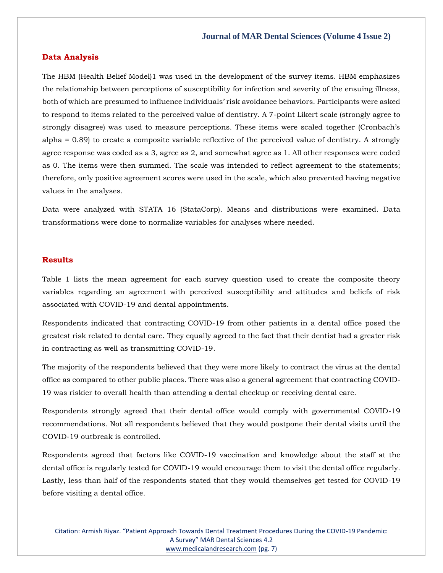#### **Data Analysis**

The HBM (Health Belief Model)1 was used in the development of the survey items. HBM emphasizes the relationship between perceptions of susceptibility for infection and severity of the ensuing illness, both of which are presumed to influence individuals' risk avoidance behaviors. Participants were asked to respond to items related to the perceived value of dentistry. A 7-point Likert scale (strongly agree to strongly disagree) was used to measure perceptions. These items were scaled together (Cronbach's alpha = 0.89) to create a composite variable reflective of the perceived value of dentistry. A strongly agree response was coded as a 3, agree as 2, and somewhat agree as 1. All other responses were coded as 0. The items were then summed. The scale was intended to reflect agreement to the statements; therefore, only positive agreement scores were used in the scale, which also prevented having negative values in the analyses.

Data were analyzed with STATA 16 (StataCorp). Means and distributions were examined. Data transformations were done to normalize variables for analyses where needed.

#### **Results**

Table 1 lists the mean agreement for each survey question used to create the composite theory variables regarding an agreement with perceived susceptibility and attitudes and beliefs of risk associated with COVID-19 and dental appointments.

Respondents indicated that contracting COVID-19 from other patients in a dental office posed the greatest risk related to dental care. They equally agreed to the fact that their dentist had a greater risk in contracting as well as transmitting COVID-19.

The majority of the respondents believed that they were more likely to contract the virus at the dental office as compared to other public places. There was also a general agreement that contracting COVID-19 was riskier to overall health than attending a dental checkup or receiving dental care.

Respondents strongly agreed that their dental office would comply with governmental COVID-19 recommendations. Not all respondents believed that they would postpone their dental visits until the COVID-19 outbreak is controlled.

Respondents agreed that factors like COVID-19 vaccination and knowledge about the staff at the dental office is regularly tested for COVID-19 would encourage them to visit the dental office regularly. Lastly, less than half of the respondents stated that they would themselves get tested for COVID-19 before visiting a dental office.

Citation: Armish Riyaz. "Patient Approach Towards Dental Treatment Procedures During the COVID-19 Pandemic: A Survey" MAR Dental Sciences 4.2 [www.medicalandresearch.com](http://www.medicalandresearch.com/) (pg. 7)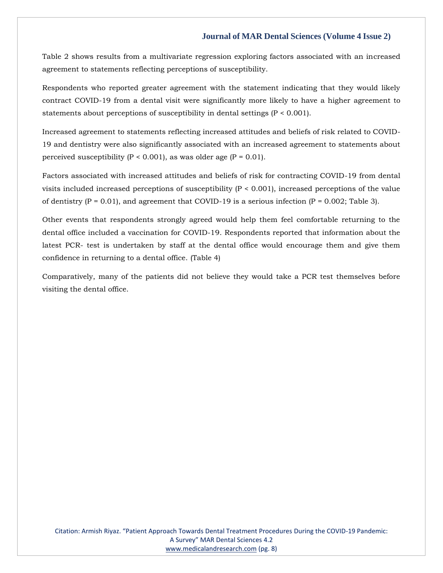Table 2 shows results from a multivariate regression exploring factors associated with an increased agreement to statements reflecting perceptions of susceptibility.

Respondents who reported greater agreement with the statement indicating that they would likely contract COVID-19 from a dental visit were significantly more likely to have a higher agreement to statements about perceptions of susceptibility in dental settings (P < 0.001).

Increased agreement to statements reflecting increased attitudes and beliefs of risk related to COVID-19 and dentistry were also significantly associated with an increased agreement to statements about perceived susceptibility  $(P < 0.001)$ , as was older age  $(P = 0.01)$ .

Factors associated with increased attitudes and beliefs of risk for contracting COVID-19 from dental visits included increased perceptions of susceptibility (P < 0.001), increased perceptions of the value of dentistry  $(P = 0.01)$ , and agreement that COVID-19 is a serious infection  $(P = 0.002;$  Table 3).

Other events that respondents strongly agreed would help them feel comfortable returning to the dental office included a vaccination for COVID-19. Respondents reported that information about the latest PCR- test is undertaken by staff at the dental office would encourage them and give them confidence in returning to a dental office. (Table 4)

Comparatively, many of the patients did not believe they would take a PCR test themselves before visiting the dental office.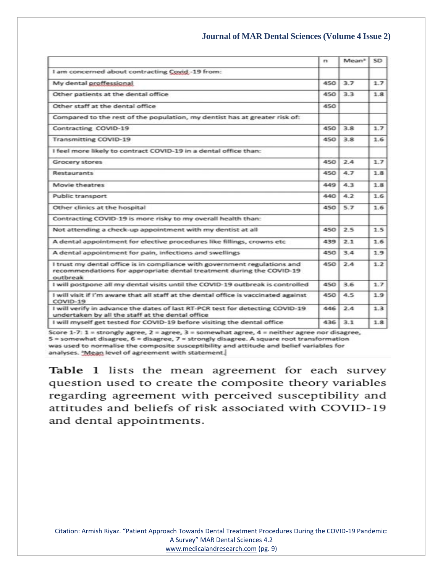|  | <b>Journal of MAR Dental Sciences (Volume 4 Issue 2)</b> |
|--|----------------------------------------------------------|
|--|----------------------------------------------------------|

|                                                                                                                                                               | n   | Mean <sup>®</sup> | <b>SD</b> |
|---------------------------------------------------------------------------------------------------------------------------------------------------------------|-----|-------------------|-----------|
| I am concerned about contracting Covid -19 from:                                                                                                              |     |                   |           |
| My dental proffessional                                                                                                                                       | 450 | 3.7               | 1.7.      |
| Other patients at the dental office                                                                                                                           | 450 | 3.3               | 1.8       |
| Other staff at the dental office                                                                                                                              | 450 |                   |           |
| Compared to the rest of the population, my dentist has at greater risk of:                                                                                    |     |                   |           |
| Contracting COVID-19                                                                                                                                          | 450 | 3.8               | 1.7       |
| <b>Transmitting COVID-19</b>                                                                                                                                  | 450 | 3.8               | 1.6       |
| I feel more likely to contract COVID-19 in a dental office than:                                                                                              |     |                   |           |
| Grocery stores                                                                                                                                                | 450 | 2.4               | 1.7       |
| <b>Restaurants</b>                                                                                                                                            | 450 | 4.7               | 1.8       |
| Movie theatres                                                                                                                                                | 449 | 4.3               | 1.8       |
| <b>Public transport</b>                                                                                                                                       | 440 | 4.2               | 1.6       |
| Other clinics at the hospital                                                                                                                                 | 450 | 5.7               | 1.6       |
| Contracting COVID-19 is more risky to my overall health than:                                                                                                 |     |                   |           |
| Not attending a check-up appointment with my dentist at all                                                                                                   | 450 | 2.5               | 1.5       |
| A dental appointment for elective procedures like fillings, crowns etc.                                                                                       | 439 | 2.1               | 1.6       |
| A dental appointment for pain, infections and swellings                                                                                                       | 450 | 3.4               | 19        |
| I trust my dental office is in compliance with government regulations and<br>recommendations for appropriate dental treatment during the COVID-19<br>outbreak | 450 | 2.4               | 1.2       |
| I will postpone all my dental visits until the COVID-19 outbreak is controlled                                                                                | 450 | 3.6               | 1.7       |
| I will visit if I'm aware that all staff at the dental office is vaccinated against<br>COVID-19                                                               | 450 | 4.5               | 1.9       |
| I will verify in advance the dates of last RT-PCR test for detecting COVID-19<br>undertaken by all the staff at the dental office                             | 446 | 2.4               | 1.3       |
| I will myself get tested for COVID-19 before visiting the dental office                                                                                       | 436 | 3.1               | 1.8       |

Score 1-7:  $1$  = strongly agree,  $2$  = agree,  $3$  = somewhat agree,  $4$  = neither agree nor disagree, 5 = somewhat disagree, 6 = disagree, 7 = strongly disagree. A square root transformation was used to normalise the composite susceptibility and attitude and belief variables for analyses. <sup>a</sup>Mean level of agreement with statement.

Table 1 lists the mean agreement for each survey question used to create the composite theory variables regarding agreement with perceived susceptibility and attitudes and beliefs of risk associated with COVID-19 and dental appointments.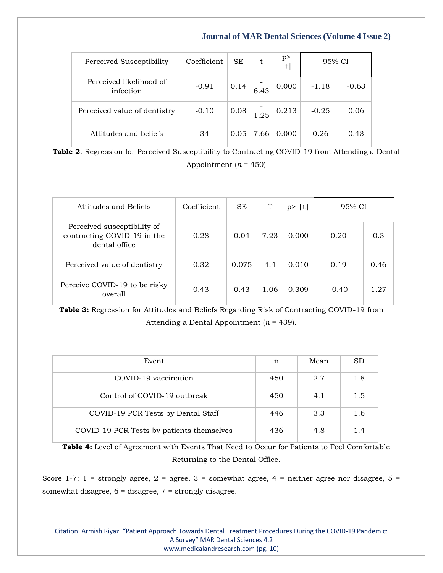| Perceived Susceptibility             | Coefficient | <b>SE</b> |      | p<br>t | 95% CI  |         |
|--------------------------------------|-------------|-----------|------|--------|---------|---------|
| Perceived likelihood of<br>infection | $-0.91$     | 0.14      | 6.43 | 0.000  | $-1.18$ | $-0.63$ |
| Perceived value of dentistry         | $-0.10$     | 0.08      | 1.25 | 0.213  | $-0.25$ | 0.06    |
| Attitudes and beliefs                | 34          | 0.05      | 7.66 | 0.000  | 0.26    | 0.43    |

**Table 2**: Regression for Perceived Susceptibility to Contracting COVID-19 from Attending a Dental Appointment  $(n = 450)$ 

| Attitudes and Beliefs                                                       | Coefficient | <b>SE</b> | T    | t <br>p | 95% CI  |      |
|-----------------------------------------------------------------------------|-------------|-----------|------|---------|---------|------|
| Perceived susceptibility of<br>contracting COVID-19 in the<br>dental office | 0.28        | 0.04      | 7.23 | 0.000   | 0.20    | 0.3  |
| Perceived value of dentistry                                                | 0.32        | 0.075     | 4.4  | 0.010   | 0.19    | 0.46 |
| Perceive COVID-19 to be risky<br>overall                                    | 0.43        | 0.43      | 1.06 | 0.309   | $-0.40$ | 1.27 |

**Table 3:** Regression for Attitudes and Beliefs Regarding Risk of Contracting COVID-19 from Attending a Dental Appointment (*n* = 439).

| Event                                     | n   | Mean | <b>SD</b> |
|-------------------------------------------|-----|------|-----------|
| COVID-19 vaccination                      | 450 | 2.7  | 1.8       |
| Control of COVID-19 outbreak              | 450 | 4.1  | 1.5       |
| COVID-19 PCR Tests by Dental Staff        | 446 | 3.3  | 1.6       |
| COVID-19 PCR Tests by patients themselves | 436 | 4.8  | 14        |

**Table 4:** Level of Agreement with Events That Need to Occur for Patients to Feel Comfortable Returning to the Dental Office.

Score 1-7: 1 = strongly agree, 2 = agree, 3 = somewhat agree, 4 = neither agree nor disagree, 5 = somewhat disagree, 6 = disagree, 7 = strongly disagree.

Citation: Armish Riyaz. "Patient Approach Towards Dental Treatment Procedures During the COVID-19 Pandemic: A Survey" MAR Dental Sciences 4.2 [www.medicalandresearch.com](http://www.medicalandresearch.com/) (pg. 10)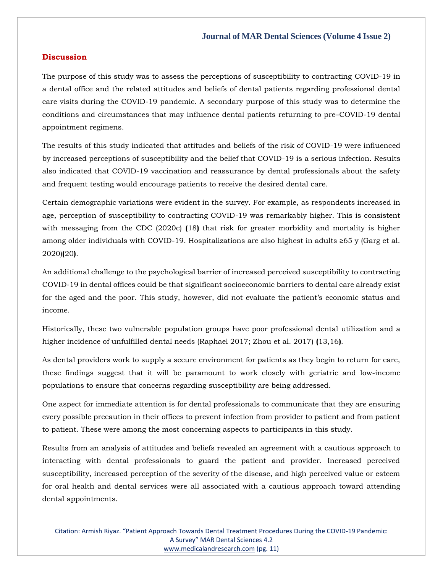## **Discussion**

The purpose of this study was to assess the perceptions of susceptibility to contracting COVID-19 in a dental office and the related attitudes and beliefs of dental patients regarding professional dental care visits during the COVID-19 pandemic. A secondary purpose of this study was to determine the conditions and circumstances that may influence dental patients returning to pre–COVID-19 dental appointment regimens.

The results of this study indicated that attitudes and beliefs of the risk of COVID-19 were influenced by increased perceptions of susceptibility and the belief that COVID-19 is a serious infection. Results also indicated that COVID-19 vaccination and reassurance by dental professionals about the safety and frequent testing would encourage patients to receive the desired dental care.

Certain demographic variations were evident in the survey. For example, as respondents increased in age, perception of susceptibility to contracting COVID-19 was remarkably higher. This is consistent with messaging from the CDC (2020c) **(**18**)** that risk for greater morbidity and mortality is higher among older individuals with COVID-19. Hospitalizations are also highest in adults ≥65 y (Garg et al. 2020)**(**20**)**.

An additional challenge to the psychological barrier of increased perceived susceptibility to contracting COVID-19 in dental offices could be that significant socioeconomic barriers to dental care already exist for the aged and the poor. This study, however, did not evaluate the patient's economic status and income.

Historically, these two vulnerable population groups have poor professional dental utilization and a higher incidence of unfulfilled dental needs (Raphael 2017; Zhou et al. 2017) **(**13,16**)**.

As dental providers work to supply a secure environment for patients as they begin to return for care, these findings suggest that it will be paramount to work closely with geriatric and low-income populations to ensure that concerns regarding susceptibility are being addressed.

One aspect for immediate attention is for dental professionals to communicate that they are ensuring every possible precaution in their offices to prevent infection from provider to patient and from patient to patient. These were among the most concerning aspects to participants in this study.

Results from an analysis of attitudes and beliefs revealed an agreement with a cautious approach to interacting with dental professionals to guard the patient and provider. Increased perceived susceptibility, increased perception of the severity of the disease, and high perceived value or esteem for oral health and dental services were all associated with a cautious approach toward attending dental appointments.

Citation: Armish Riyaz. "Patient Approach Towards Dental Treatment Procedures During the COVID-19 Pandemic: A Survey" MAR Dental Sciences 4.2 [www.medicalandresearch.com](http://www.medicalandresearch.com/) (pg. 11)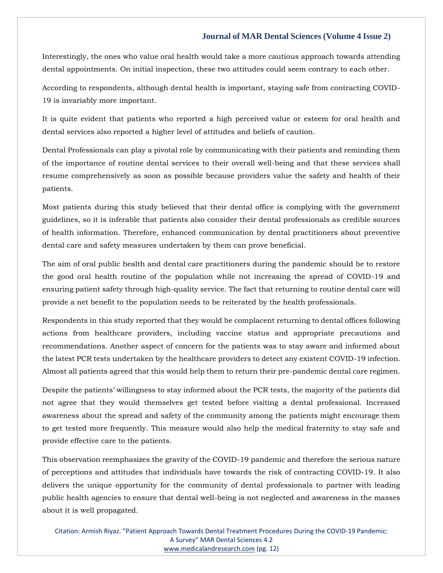Interestingly, the ones who value oral health would take a more cautious approach towards attending dental appointments. On initial inspection, these two attitudes could seem contrary to each other.

According to respondents, although dental health is important, staying safe from contracting COVID-19 is invariably more important.

It is quite evident that patients who reported a high perceived value or esteem for oral health and dental services also reported a higher level of attitudes and beliefs of caution.

Dental Professionals can play a pivotal role by communicating with their patients and reminding them of the importance of routine dental services to their overall well-being and that these services shall resume comprehensively as soon as possible because providers value the safety and health of their patients.

Most patients during this study believed that their dental office is complying with the government guidelines, so it is inferable that patients also consider their dental professionals as credible sources of health information. Therefore, enhanced communication by dental practitioners about preventive dental care and safety measures undertaken by them can prove beneficial.

The aim of oral public health and dental care practitioners during the pandemic should be to restore the good oral health routine of the population while not increasing the spread of COVID-19 and ensuring patient safety through high-quality service. The fact that returning to routine dental care will provide a net benefit to the population needs to be reiterated by the health professionals.

Respondents in this study reported that they would be complacent returning to dental offices following actions from healthcare providers, including vaccine status and appropriate precautions and recommendations. Another aspect of concern for the patients was to stay aware and informed about the latest PCR tests undertaken by the healthcare providers to detect any existent COVID-19 infection. Almost all patients agreed that this would help them to return their pre-pandemic dental care regimen.

Despite the patients' willingness to stay informed about the PCR tests, the majority of the patients did not agree that they would themselves get tested before visiting a dental professional. Increased awareness about the spread and safety of the community among the patients might encourage them to get tested more frequently. This measure would also help the medical fraternity to stay safe and provide effective care to the patients.

This observation reemphasizes the gravity of the COVID-19 pandemic and therefore the serious nature of perceptions and attitudes that individuals have towards the risk of contracting COVID-19. It also delivers the unique opportunity for the community of dental professionals to partner with leading public health agencies to ensure that dental well-being is not neglected and awareness in the masses about it is well propagated.

Citation: Armish Riyaz. "Patient Approach Towards Dental Treatment Procedures During the COVID-19 Pandemic: A Survey" MAR Dental Sciences 4.2 [www.medicalandresearch.com](http://www.medicalandresearch.com/) (pg. 12)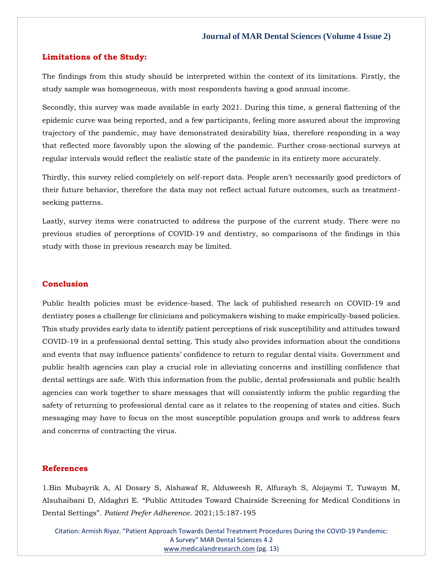#### **Limitations of the Study:**

The findings from this study should be interpreted within the context of its limitations. Firstly, the study sample was homogeneous, with most respondents having a good annual income.

Secondly, this survey was made available in early 2021. During this time, a general flattening of the epidemic curve was being reported, and a few participants, feeling more assured about the improving trajectory of the pandemic, may have demonstrated desirability bias, therefore responding in a way that reflected more favorably upon the slowing of the pandemic. Further cross-sectional surveys at regular intervals would reflect the realistic state of the pandemic in its entirety more accurately.

Thirdly, this survey relied completely on self-report data. People aren't necessarily good predictors of their future behavior, therefore the data may not reflect actual future outcomes, such as treatmentseeking patterns.

Lastly, survey items were constructed to address the purpose of the current study. There were no previous studies of perceptions of COVID-19 and dentistry, so comparisons of the findings in this study with those in previous research may be limited.

#### **Conclusion**

Public health policies must be evidence-based. The lack of published research on COVID-19 and dentistry poses a challenge for clinicians and policymakers wishing to make empirically-based policies. This study provides early data to identify patient perceptions of risk susceptibility and attitudes toward COVID-19 in a professional dental setting. This study also provides information about the conditions and events that may influence patients' confidence to return to regular dental visits. Government and public health agencies can play a crucial role in alleviating concerns and instilling confidence that dental settings are safe. With this information from the public, dental professionals and public health agencies can work together to share messages that will consistently inform the public regarding the safety of returning to professional dental care as it relates to the reopening of states and cities. Such messaging may have to focus on the most susceptible population groups and work to address fears and concerns of contracting the virus.

#### **References**

1[.Bin Mubayrik A, Al Dosary S, Alshawaf R, Alduweesh R, Alfurayh S, Alojaymi T, Tuwaym M,](https://www.google.com/search?q=public+attitudes+toward+chairside+screening+for+medical+conditions+in+dental+settings&oq=Public+Attitudes+Toward+Chairside+Screening+for+Medical+Conditions+in+Dental+Settings&aqs=chrome.0.0i512.452j0j7&sourceid=chrome&ie=UTF-8)  Alsuhaibani D, Aldaghri E. "[Public Attitudes Toward Chairside Screening for Medical Conditions in](https://www.google.com/search?q=public+attitudes+toward+chairside+screening+for+medical+conditions+in+dental+settings&oq=Public+Attitudes+Toward+Chairside+Screening+for+Medical+Conditions+in+Dental+Settings&aqs=chrome.0.0i512.452j0j7&sourceid=chrome&ie=UTF-8)  Dental Settings". *[Patient Prefer Adherence](https://www.google.com/search?q=public+attitudes+toward+chairside+screening+for+medical+conditions+in+dental+settings&oq=Public+Attitudes+Toward+Chairside+Screening+for+Medical+Conditions+in+Dental+Settings&aqs=chrome.0.0i512.452j0j7&sourceid=chrome&ie=UTF-8)*. 2021;15:187-195

Citation: Armish Riyaz. "Patient Approach Towards Dental Treatment Procedures During the COVID-19 Pandemic: A Survey" MAR Dental Sciences 4.2 [www.medicalandresearch.com](http://www.medicalandresearch.com/) (pg. 13)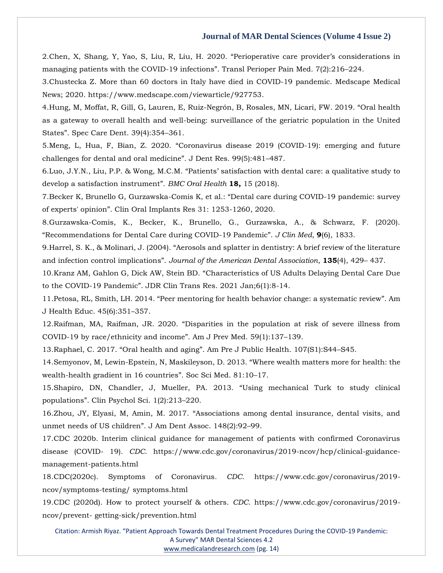2[.Chen, X, Shang, Y, Yao, S, Liu, R, Liu, H. 2020.](https://www.google.com/search?q=Perioperative+care+provider%E2%80%99s+considerations+in+managing+patients+with+the+COVID-19+infections&sxsrf=AOaemvL_GUh0ofwXZBywNQmrzsSEy5aeYg%3A1638193019005&ei=etekYYvvPNmfseMPl9yc2Ao&ved=0ahUKEwiLlOLH2L30AhXZT2wGHRcuB6sQ4dUDCA4&uact=5&oq=Perioperative+care+provider%E2%80%99s+considerations+in+managing+patients+with+the+COVID-19+infections&gs_lcp=Cgdnd3Mtd2l6EAMyBAgAEB46BwgjEOoCECdKBAhBGABQ5QZY5QZgpxBoAXACeACAAf4BiAH-AZIBAzItMZgBAKABAaABArABCsABAQ&sclient=gws-wiz) "Perioperative care provider's considerations in [managing patients with the COVID-19 infections](https://www.google.com/search?q=Perioperative+care+provider%E2%80%99s+considerations+in+managing+patients+with+the+COVID-19+infections&sxsrf=AOaemvL_GUh0ofwXZBywNQmrzsSEy5aeYg%3A1638193019005&ei=etekYYvvPNmfseMPl9yc2Ao&ved=0ahUKEwiLlOLH2L30AhXZT2wGHRcuB6sQ4dUDCA4&uact=5&oq=Perioperative+care+provider%E2%80%99s+considerations+in+managing+patients+with+the+COVID-19+infections&gs_lcp=Cgdnd3Mtd2l6EAMyBAgAEB46BwgjEOoCECdKBAhBGABQ5QZY5QZgpxBoAXACeACAAf4BiAH-AZIBAzItMZgBAKABAaABArABCsABAQ&sclient=gws-wiz)". Transl Perioper Pain Med. 7(2):216–224.

3.Chustecka Z. More than 60 doctors in Italy have died in COVID-19 pandemic. Medscape Medical News; 2020. https://www.medscape.com/viewarticle/927753.

4[.Hung, M, Moffat, R, Gill, G, Lauren, E, Ruiz-Negrón, B, Rosales, MN, Licari, FW. 2019.](https://www.google.com/search?q=Oral+health+as+a+gateway+to+overall+health+and+well-being%3A+surveillance+of+the+geriatric+population+in+the+United+States&sxsrf=AOaemvI_mWGah_5VBQzDG-BcWOjImFxzcA%3A1638193041225&ei=kdekYcanDbaTseMP3bqn4Ak&ved=0ahUKEwiGtK7S2L30AhW2SWwGHV3dCZwQ4dUDCA4&uact=5&oq=Oral+health+as+a+gateway+to+overall+health+and+well-being%3A+surveillance+of+the+geriatric+population+in+the+United+States&gs_lcp=Cgdnd3Mtd2l6EAMyBwgjEOoCECcyBwgjEOoCECcyBwgjEOoCECcyBwgjEOoCECcyBwgjEOoCECcyBwgjEOoCECcyBwgjEOoCECcyBwgjEOoCECcyBwgjEOoCECcyBwgjEOoCECdKBAhBGABQogZYogZguAtoAXACeACAAQCIAQCSAQCYAQCgAQGgAQKwAQrAAQE&sclient=gws-wiz) "Oral health [as a gateway to overall health and well-being: surveillance of the geriatric population in the United](https://www.google.com/search?q=Oral+health+as+a+gateway+to+overall+health+and+well-being%3A+surveillance+of+the+geriatric+population+in+the+United+States&sxsrf=AOaemvI_mWGah_5VBQzDG-BcWOjImFxzcA%3A1638193041225&ei=kdekYcanDbaTseMP3bqn4Ak&ved=0ahUKEwiGtK7S2L30AhW2SWwGHV3dCZwQ4dUDCA4&uact=5&oq=Oral+health+as+a+gateway+to+overall+health+and+well-being%3A+surveillance+of+the+geriatric+population+in+the+United+States&gs_lcp=Cgdnd3Mtd2l6EAMyBwgjEOoCECcyBwgjEOoCECcyBwgjEOoCECcyBwgjEOoCECcyBwgjEOoCECcyBwgjEOoCECcyBwgjEOoCECcyBwgjEOoCECcyBwgjEOoCECcyBwgjEOoCECdKBAhBGABQogZYogZguAtoAXACeACAAQCIAQCSAQCYAQCgAQGgAQKwAQrAAQE&sclient=gws-wiz)  States"[. Spec Care Dent. 39\(4\):354](https://www.google.com/search?q=Oral+health+as+a+gateway+to+overall+health+and+well-being%3A+surveillance+of+the+geriatric+population+in+the+United+States&sxsrf=AOaemvI_mWGah_5VBQzDG-BcWOjImFxzcA%3A1638193041225&ei=kdekYcanDbaTseMP3bqn4Ak&ved=0ahUKEwiGtK7S2L30AhW2SWwGHV3dCZwQ4dUDCA4&uact=5&oq=Oral+health+as+a+gateway+to+overall+health+and+well-being%3A+surveillance+of+the+geriatric+population+in+the+United+States&gs_lcp=Cgdnd3Mtd2l6EAMyBwgjEOoCECcyBwgjEOoCECcyBwgjEOoCECcyBwgjEOoCECcyBwgjEOoCECcyBwgjEOoCECcyBwgjEOoCECcyBwgjEOoCECcyBwgjEOoCECcyBwgjEOoCECdKBAhBGABQogZYogZguAtoAXACeACAAQCIAQCSAQCYAQCgAQGgAQKwAQrAAQE&sclient=gws-wiz)–361.

5.Meng, L, Hua, F, Bian, Z. 2020. "[Coronavirus disease 2019 \(COVID-19\): emerging and future](https://www.google.com/search?q=Coronavirus+disease+2019+%28COVID-19%29%3A+emerging+and+future+challenges+for+dental+and+oral+medicine%E2%80%9D&sxsrf=AOaemvLDsFCDcF2jjVmhp5ZTMw0IgiAFbA%3A1638193086835&ei=vtekYeKSMqydseMP3YetkAI&ved=0ahUKEwji6Y3o2L30AhWsTmwGHd1DCyIQ4dUDCA4&oq=Coronavirus+disease+2019+%28COVID-19%29%3A+emerging+and+future+challenges+for+dental+and+oral+medicine%E2%80%9D&gs_lcp=Cgdnd3Mtd2l6EAw6BwgjEOoCECdKBAhBGABQvRNYvRNg2ipoAXAAeACAAegBiAHoAZIBAzItMZgBAKABAaABArABCsABAQ&sclient=gws-wiz)  [challenges for dental and oral medicine](https://www.google.com/search?q=Coronavirus+disease+2019+%28COVID-19%29%3A+emerging+and+future+challenges+for+dental+and+oral+medicine%E2%80%9D&sxsrf=AOaemvLDsFCDcF2jjVmhp5ZTMw0IgiAFbA%3A1638193086835&ei=vtekYeKSMqydseMP3YetkAI&ved=0ahUKEwji6Y3o2L30AhWsTmwGHd1DCyIQ4dUDCA4&oq=Coronavirus+disease+2019+%28COVID-19%29%3A+emerging+and+future+challenges+for+dental+and+oral+medicine%E2%80%9D&gs_lcp=Cgdnd3Mtd2l6EAw6BwgjEOoCECdKBAhBGABQvRNYvRNg2ipoAXAAeACAAegBiAHoAZIBAzItMZgBAKABAaABArABCsABAQ&sclient=gws-wiz)". J Dent Res. 99(5):481–487.

6.Luo, J.Y.N., Liu, P.P. & Wong, M.C.M. ["Patients' satisfaction with dental care: a qualitative study to](https://www.google.com/search?q=Patients%E2%80%99+satisfaction+with+dental+care%3A+a+qualitative+study+to+develop+a+satisfaction+instrument%E2%80%9D&sxsrf=AOaemvJnvHLrkXhc5-pobxRktGkDxVBMwg%3A1638193239955&ei=V9ikYZLPOYKPseMPq5Cp2AE&ved=0ahUKEwjS1o-x2b30AhWCR2wGHStIChsQ4dUDCA4&oq=Patients%E2%80%99+satisfaction+with+dental+care%3A+a+qualitative+study+to+develop+a+satisfaction+instrument%E2%80%9D&gs_lcp=Cgdnd3Mtd2l6EAw6BwgjEOoCECdKBAhBGABQ8hBY8hBgoBhoAXACeACAAdABiAHQAZIBAzItMZgBAKABAaABArABCsABAQ&sclient=gws-wiz)  [develop a satisfaction instrument](https://www.google.com/search?q=Patients%E2%80%99+satisfaction+with+dental+care%3A+a+qualitative+study+to+develop+a+satisfaction+instrument%E2%80%9D&sxsrf=AOaemvJnvHLrkXhc5-pobxRktGkDxVBMwg%3A1638193239955&ei=V9ikYZLPOYKPseMPq5Cp2AE&ved=0ahUKEwjS1o-x2b30AhWCR2wGHStIChsQ4dUDCA4&oq=Patients%E2%80%99+satisfaction+with+dental+care%3A+a+qualitative+study+to+develop+a+satisfaction+instrument%E2%80%9D&gs_lcp=Cgdnd3Mtd2l6EAw6BwgjEOoCECdKBAhBGABQ8hBY8hBgoBhoAXACeACAAdABiAHQAZIBAzItMZgBAKABAaABArABCsABAQ&sclient=gws-wiz)". *BMC Oral Health* **18,** 15 (2018).

7[.Becker K, Brunello G, Gurzawska-Comis K, et al.:](https://www.google.com/search?q=%E2%80%9CDental+care+during+COVID-19+pandemic%3A+survey+of+experts%27+opinion&sxsrf=AOaemvL-pOPwzrbscCQrD68tFWruKXNIRQ%3A1638193301910&ei=ldikYdzmNv-hseMPkMCtiAc&ved=0ahUKEwichdXO2b30AhX_UGwGHRBgC3EQ4dUDCA4&oq=%E2%80%9CDental+care+during+COVID-19+pandemic%3A+survey+of+experts%27+opinion&gs_lcp=Cgdnd3Mtd2l6EAwyBQgAEIAEOgcIIxDqAhAnSgQIQRgAUJYXWJYXYNEfaAFwAngAgAHMAYgBzAGSAQMyLTGYAQCgAQGgAQKwAQrAAQE&sclient=gws-wiz) "Dental care during COVID-19 pandemic: survey of experts' opinion"[. Clin Oral Implants Res 31: 1253-1260, 2020.](https://www.google.com/search?q=%E2%80%9CDental+care+during+COVID-19+pandemic%3A+survey+of+experts%27+opinion&sxsrf=AOaemvL-pOPwzrbscCQrD68tFWruKXNIRQ%3A1638193301910&ei=ldikYdzmNv-hseMPkMCtiAc&ved=0ahUKEwichdXO2b30AhX_UGwGHRBgC3EQ4dUDCA4&oq=%E2%80%9CDental+care+during+COVID-19+pandemic%3A+survey+of+experts%27+opinion&gs_lcp=Cgdnd3Mtd2l6EAwyBQgAEIAEOgcIIxDqAhAnSgQIQRgAUJYXWJYXYNEfaAFwAngAgAHMAYgBzAGSAQMyLTGYAQCgAQGgAQKwAQrAAQE&sclient=gws-wiz)

[8.Gurzawska-Comis, K., Becker, K., Brunello, G., Gurzawska, A., & Schwarz, F. \(2020\).](https://www.google.com/search?q=%E2%80%9CRecommendations+for+Dental+Care+during+COVID-19+Pandemic&sxsrf=AOaemvL2UdC_1X4VFolEn_cOKv-FBC0CTA%3A1638193364388&ei=1NikYYSlF6aWseMPzeuGwAs&ved=0ahUKEwiE37rs2b30AhUmS2wGHc21AbgQ4dUDCA4&oq=%E2%80%9CRecommendations+for+Dental+Care+during+COVID-19+Pandemic&gs_lcp=Cgdnd3Mtd2l6EAwyBQgAEIAEMgYIABAWEB4yBggAEBYQHjIGCAAQFhAeMgYIABAWEB46BwgjEOoCECdKBAhBGABQhBhYhBhg-SBoAnACeACAAeMCiAHjApIBAzMtMZgBAKABAaABArABCsABAQ&sclient=gws-wiz)  "[Recommendations for Dental Care during COVID-19 Pandemic](https://www.google.com/search?q=%E2%80%9CRecommendations+for+Dental+Care+during+COVID-19+Pandemic&sxsrf=AOaemvL2UdC_1X4VFolEn_cOKv-FBC0CTA%3A1638193364388&ei=1NikYYSlF6aWseMPzeuGwAs&ved=0ahUKEwiE37rs2b30AhUmS2wGHc21AbgQ4dUDCA4&oq=%E2%80%9CRecommendations+for+Dental+Care+during+COVID-19+Pandemic&gs_lcp=Cgdnd3Mtd2l6EAwyBQgAEIAEMgYIABAWEB4yBggAEBYQHjIGCAAQFhAeMgYIABAWEB46BwgjEOoCECdKBAhBGABQhBhYhBhg-SBoAnACeACAAeMCiAHjApIBAzMtMZgBAKABAaABArABCsABAQ&sclient=gws-wiz)". *J Clin Med*, **9**(6), 1833.

9.Harrel, S. K., & Molinari, J. (2004). "[Aerosols and splatter in dentistry: A brief review of the literature](https://www.google.com/search?q=Aerosols+and+splatter+in+dentistry%3A+A+brief+review+of+the+literature+and+infection+control+implications%E2%80%9D&sxsrf=AOaemvLvrCfhUmWyG-kzHmxEelXYNHFdUw%3A1638193411975&ei=A9mkYevtOvGLseMPvL2KyAQ&ved=0ahUKEwir-5KD2r30AhXxRWwGHbyeAkkQ4dUDCA4&oq=Aerosols+and+splatter+in+dentistry%3A+A+brief+review+of+the+literature+and+infection+control+implications%E2%80%9D&gs_lcp=Cgdnd3Mtd2l6EAwyBwgjEOoCECcyBwgjEOoCECcyBwgjEOoCECcyBwgjEOoCECcyBwgjEOoCECcyBwgjEOoCECcyBwgjEOoCECcyBwgjEOoCECcyBwgjEOoCECcyBwgjEOoCECdKBAhBGABQ1BBY1BBggyFoAXACeACAAQCIAQCSAQCYAQCgAQGgAQKwAQrAAQE&sclient=gws-wiz)  and infection control implications". *[Journal of the American Dental Association](https://www.google.com/search?q=Aerosols+and+splatter+in+dentistry%3A+A+brief+review+of+the+literature+and+infection+control+implications%E2%80%9D&sxsrf=AOaemvLvrCfhUmWyG-kzHmxEelXYNHFdUw%3A1638193411975&ei=A9mkYevtOvGLseMPvL2KyAQ&ved=0ahUKEwir-5KD2r30AhXxRWwGHbyeAkkQ4dUDCA4&oq=Aerosols+and+splatter+in+dentistry%3A+A+brief+review+of+the+literature+and+infection+control+implications%E2%80%9D&gs_lcp=Cgdnd3Mtd2l6EAwyBwgjEOoCECcyBwgjEOoCECcyBwgjEOoCECcyBwgjEOoCECcyBwgjEOoCECcyBwgjEOoCECcyBwgjEOoCECcyBwgjEOoCECcyBwgjEOoCECcyBwgjEOoCECdKBAhBGABQ1BBY1BBggyFoAXACeACAAQCIAQCSAQCYAQCgAQGgAQKwAQrAAQE&sclient=gws-wiz)*, **135**(4), 429– 437.

10.Kranz AM, Gahlon G, Dick AW, Stein BD. "[Characteristics of US Adults Delaying Dental Care Due](https://www.google.com/search?q=%E2%80%9CCharacteristics+of+US+Adults+Delaying+Dental+Care+Due+to+the+COVID-19+Pandemic&sxsrf=AOaemvLcreYVUffdC-nBH6g8ccxQXzOfAA%3A1638193458985&ei=MtmkYZi_O-adseMP9quVyAU&ved=0ahUKEwiYoMiZ2r30AhXmTmwGHfZVBVkQ4dUDCA4&oq=%E2%80%9CCharacteristics+of+US+Adults+Delaying+Dental+Care+Due+to+the+COVID-19+Pandemic&gs_lcp=Cgdnd3Mtd2l6EAwyBQgAEIAEOgcIIxDqAhAnSgQIQRgAUNMSWNMSYNInaAFwAngAgAHVAYgB1QGSAQMyLTGYAQCgAQGgAQKwAQrAAQE&sclient=gws-wiz)  to the COVID-19 Pandemic"[. JDR Clin Trans Res. 2021 Jan;6\(1\):8-14.](https://www.google.com/search?q=%E2%80%9CCharacteristics+of+US+Adults+Delaying+Dental+Care+Due+to+the+COVID-19+Pandemic&sxsrf=AOaemvLcreYVUffdC-nBH6g8ccxQXzOfAA%3A1638193458985&ei=MtmkYZi_O-adseMP9quVyAU&ved=0ahUKEwiYoMiZ2r30AhXmTmwGHfZVBVkQ4dUDCA4&oq=%E2%80%9CCharacteristics+of+US+Adults+Delaying+Dental+Care+Due+to+the+COVID-19+Pandemic&gs_lcp=Cgdnd3Mtd2l6EAwyBQgAEIAEOgcIIxDqAhAnSgQIQRgAUNMSWNMSYNInaAFwAngAgAHVAYgB1QGSAQMyLTGYAQCgAQGgAQKwAQrAAQE&sclient=gws-wiz)

11.Petosa, RL, Smith, LH. 2014. "[Peer mentoring for health behavior change: a systematic review](https://www.google.com/search?q=Peer+mentoring+for+health+behavior+change%3A+a+systematic+review&sxsrf=AOaemvLG8XdZpYsu3Jn_YQfqK1qGlAkdZQ%3A1638193504626&ei=YNmkYcS7JZaSseMP3sKXuAs&ved=0ahUKEwjE66mv2r30AhUWSWwGHV7hBbcQ4dUDCA4&oq=Peer+mentoring+for+health+behavior+change%3A+a+systematic+review&gs_lcp=Cgdnd3Mtd2l6EAw6BwgjEOoCECdKBAhBGABQwA5YwA5gthpoAXAAeACAAcoBiAHKAZIBAzItMZgBAKABAaABArABCsABAQ&sclient=gws-wiz)". Am [J Health Educ. 45\(6\):351](https://www.google.com/search?q=Peer+mentoring+for+health+behavior+change%3A+a+systematic+review&sxsrf=AOaemvLG8XdZpYsu3Jn_YQfqK1qGlAkdZQ%3A1638193504626&ei=YNmkYcS7JZaSseMP3sKXuAs&ved=0ahUKEwjE66mv2r30AhUWSWwGHV7hBbcQ4dUDCA4&oq=Peer+mentoring+for+health+behavior+change%3A+a+systematic+review&gs_lcp=Cgdnd3Mtd2l6EAw6BwgjEOoCECdKBAhBGABQwA5YwA5gthpoAXAAeACAAcoBiAHKAZIBAzItMZgBAKABAaABArABCsABAQ&sclient=gws-wiz)–357.

12.Raifman, MA, Raifman, JR. 2020. "[Disparities in the population at risk of severe illness from](https://www.google.com/search?q=Disparities+in+the+population+at+risk+of+severe+illness+from+COVID-19+by+race%2Fethnicity+and+income%E2%80%9D&sxsrf=AOaemvIjr3Ri-Qy70khOgj-cY79NXGg38g%3A1638193551596&ei=j9mkYc7SI8yYseMPpIylmAY&ved=0ahUKEwiO1tzF2r30AhVMTGwGHSRGCWMQ4dUDCA4&oq=Disparities+in+the+population+at+risk+of+severe+illness+from+COVID-19+by+race%2Fethnicity+and+income%E2%80%9D&gs_lcp=Cgdnd3Mtd2l6EAwyBAgAEB46BwgjEOoCECdKBAhBGABQjRJYjRJg-iRoAXACeACAAd8BiAHfAZIBAzItMZgBAKABAaABArABCsABAQ&sclient=gws-wiz)  [COVID-19 by race/ethnicity and income](https://www.google.com/search?q=Disparities+in+the+population+at+risk+of+severe+illness+from+COVID-19+by+race%2Fethnicity+and+income%E2%80%9D&sxsrf=AOaemvIjr3Ri-Qy70khOgj-cY79NXGg38g%3A1638193551596&ei=j9mkYc7SI8yYseMPpIylmAY&ved=0ahUKEwiO1tzF2r30AhVMTGwGHSRGCWMQ4dUDCA4&oq=Disparities+in+the+population+at+risk+of+severe+illness+from+COVID-19+by+race%2Fethnicity+and+income%E2%80%9D&gs_lcp=Cgdnd3Mtd2l6EAwyBAgAEB46BwgjEOoCECdKBAhBGABQjRJYjRJg-iRoAXACeACAAd8BiAHfAZIBAzItMZgBAKABAaABArABCsABAQ&sclient=gws-wiz)". Am J Prev Med. 59(1):137–139.

13.Raphael, C. 2017. "Oral health and aging"[. Am Pre J Public Health. 107\(S1\):S44](https://www.google.com/search?q=Oral+health+and+aging&sxsrf=AOaemvLLu02IOSR1wsEw4XEi-JSTIVEpyQ%3A1638193595312&ei=u9mkYY29EqKYseMPusyuiAs&ved=0ahUKEwjNhsna2r30AhUiTGwGHTqmC7EQ4dUDCA4&oq=Oral+health+and+aging&gs_lcp=Cgdnd3Mtd2l6EAwyBQgAEIAEMgYIABAWEB4yBggAEBYQHjoHCCMQ6gIQJ0oECEEYAFCIFFiIFGC_JWgCcAB4AIABvgGIAb4BkgEDMC4xmAEAoAEBoAECsAEKwAEB&sclient=gws-wiz)–S45.

14[.Semyonov, M, Lewin-Epstein, N, Maskileyson, D. 2013.](https://www.google.com/search?q=%E2%80%9CWhere+wealth+matters+more+for+health%3A+the+wealth-health+gradient+in+16+countries&sxsrf=AOaemvI6oPnQwnWj-X-Rz5GcfrxVkMwGqg%3A1638193637424&ei=5dmkYdeeGZufseMPuKm00AY&ved=0ahUKEwiXpdPu2r30AhWbT2wGHbgUDWoQ4dUDCA4&oq=%E2%80%9CWhere+wealth+matters+more+for+health%3A+the+wealth-health+gradient+in+16+countries&gs_lcp=Cgdnd3Mtd2l6EAw6BwgjEOoCECdKBAhBGABQ6BFY6BFgqBpoAXACeACAAcYBiAHGAZIBAzAuMZgBAKABAaABArABCsABAQ&sclient=gws-wiz) "Where wealth matters more for health: the [wealth-health gradient in 16 countries](https://www.google.com/search?q=%E2%80%9CWhere+wealth+matters+more+for+health%3A+the+wealth-health+gradient+in+16+countries&sxsrf=AOaemvI6oPnQwnWj-X-Rz5GcfrxVkMwGqg%3A1638193637424&ei=5dmkYdeeGZufseMPuKm00AY&ved=0ahUKEwiXpdPu2r30AhWbT2wGHbgUDWoQ4dUDCA4&oq=%E2%80%9CWhere+wealth+matters+more+for+health%3A+the+wealth-health+gradient+in+16+countries&gs_lcp=Cgdnd3Mtd2l6EAw6BwgjEOoCECdKBAhBGABQ6BFY6BFgqBpoAXACeACAAcYBiAHGAZIBAzAuMZgBAKABAaABArABCsABAQ&sclient=gws-wiz)". Soc Sci Med. 81:10–17.

15[.Shapiro, DN, Chandler, J, Mueller, PA. 2013.](https://www.google.com/search?q=Using+mechanical+Turk+to+study+clinical+populations&sxsrf=AOaemvKYbqniXPdkWKmxCtXbPIXJ3sumHQ%3A1638193681218&ei=EdqkYZqTBYmeseMPqo2BOA&ved=0ahUKEwja37yD2730AhUJT2wGHapGAAcQ4dUDCA4&oq=Using+mechanical+Turk+to+study+clinical+populations&gs_lcp=Cgdnd3Mtd2l6EAwyBggAEBYQHjoHCCMQ6gIQJ0oECEEYAFDCD1jCD2CKG2gBcAB4AIAB8AGIAfABkgEDMi0xmAEAoAEBoAECsAEKwAEB&sclient=gws-wiz) "Using mechanical Turk to study clinical populations"[. Clin Psychol Sci. 1\(2\):213](https://www.google.com/search?q=Using+mechanical+Turk+to+study+clinical+populations&sxsrf=AOaemvKYbqniXPdkWKmxCtXbPIXJ3sumHQ%3A1638193681218&ei=EdqkYZqTBYmeseMPqo2BOA&ved=0ahUKEwja37yD2730AhUJT2wGHapGAAcQ4dUDCA4&oq=Using+mechanical+Turk+to+study+clinical+populations&gs_lcp=Cgdnd3Mtd2l6EAwyBggAEBYQHjoHCCMQ6gIQJ0oECEEYAFDCD1jCD2CKG2gBcAB4AIAB8AGIAfABkgEDMi0xmAEAoAEBoAECsAEKwAEB&sclient=gws-wiz)–220.

16.Zhou, JY, Elyasi, M, Amin, M. 2017. "[Associations among dental insurance, dental visits, and](https://www.google.com/search?q=Associations+among+dental+insurance%2C+dental+visits%2C+and+unmet+needs+of+US+children%E2%80%9D&sxsrf=AOaemvJBMqYR2qMyHS8qlKNcLB6fp4TdQA%3A1638193740192&ei=TNqkYaGlC7yVseMP-fCJkA0&ved=0ahUKEwih-9Of2730AhW8SmwGHXl4AtIQ4dUDCA4&oq=Associations+among+dental+insurance%2C+dental+visits%2C+and+unmet+needs+of+US+children%E2%80%9D&gs_lcp=Cgdnd3Mtd2l6EAw6BwgjEOoCECdKBAhBGABQ4xJY4xJgrh1oAXAAeACAAfoBiAH6AZIBAzItMZgBAKABAaABArABCsABAQ&sclient=gws-wiz)  unmet needs of US children"[. J Am Dent Assoc. 148\(2\):92](https://www.google.com/search?q=Associations+among+dental+insurance%2C+dental+visits%2C+and+unmet+needs+of+US+children%E2%80%9D&sxsrf=AOaemvJBMqYR2qMyHS8qlKNcLB6fp4TdQA%3A1638193740192&ei=TNqkYaGlC7yVseMP-fCJkA0&ved=0ahUKEwih-9Of2730AhW8SmwGHXl4AtIQ4dUDCA4&oq=Associations+among+dental+insurance%2C+dental+visits%2C+and+unmet+needs+of+US+children%E2%80%9D&gs_lcp=Cgdnd3Mtd2l6EAw6BwgjEOoCECdKBAhBGABQ4xJY4xJgrh1oAXAAeACAAfoBiAH6AZIBAzItMZgBAKABAaABArABCsABAQ&sclient=gws-wiz)–99.

17.CDC 2020b. Interim clinical guidance for management of patients with confirmed Coronavirus disease (COVID- 19). *CDC*. https://www.cdc.gov/coronavirus/2019-ncov/hcp/clinical-guidancemanagement-patients.html

18.CDC(2020c). Symptoms of Coronavirus*. CDC*. https://www.cdc.gov/coronavirus/2019 ncov/symptoms-testing/ symptoms.html

19.CDC (2020d). How to protect yourself & others. *CDC*. https://www.cdc.gov/coronavirus/2019 ncov/prevent- getting-sick/prevention.html

Citation: Armish Riyaz. "Patient Approach Towards Dental Treatment Procedures During the COVID-19 Pandemic: A Survey" MAR Dental Sciences 4.2 [www.medicalandresearch.com](http://www.medicalandresearch.com/) (pg. 14)